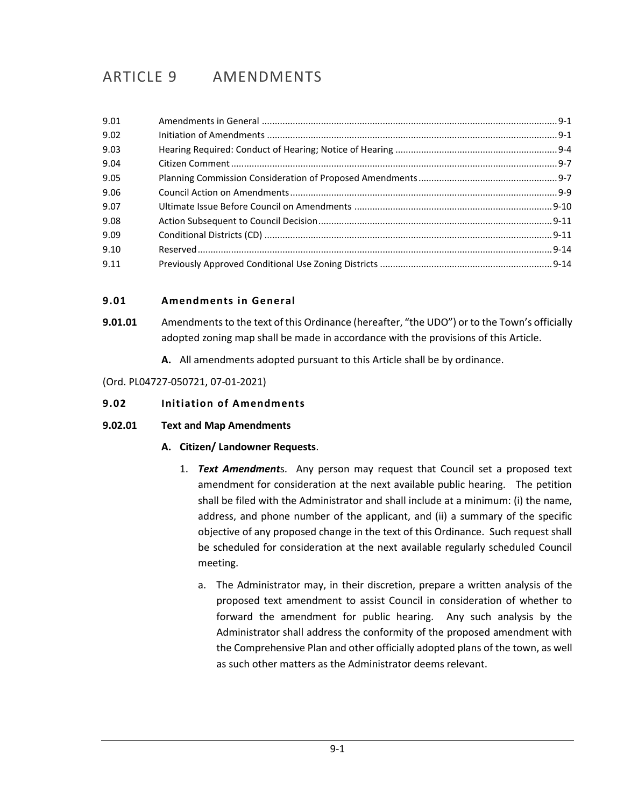# ARTICLE 9 AMENDMENTS

## <span id="page-0-0"></span>**9.01 Amendments in General**

- **9.01.01** Amendments to the text of this Ordinance (hereafter, "the UDO") or to the Town's officially adopted zoning map shall be made in accordance with the provisions of this Article.
	- **A.** All amendments adopted pursuant to this Article shall be by ordinance.

(Ord. PL04727-050721, 07-01-2021)

#### <span id="page-0-1"></span>**9.02 Initiation of Amendments**

#### **9.02.01 Text and Map Amendments**

## **A. Citizen/ Landowner Requests**.

- 1. *Text Amendment*s. Any person may request that Council set a proposed text amendment for consideration at the next available public hearing. The petition shall be filed with the Administrator and shall include at a minimum: (i) the name, address, and phone number of the applicant, and (ii) a summary of the specific objective of any proposed change in the text of this Ordinance. Such request shall be scheduled for consideration at the next available regularly scheduled Council meeting.
	- a. The Administrator may, in their discretion, prepare a written analysis of the proposed text amendment to assist Council in consideration of whether to forward the amendment for public hearing. Any such analysis by the Administrator shall address the conformity of the proposed amendment with the Comprehensive Plan and other officially adopted plans of the town, as well as such other matters as the Administrator deems relevant.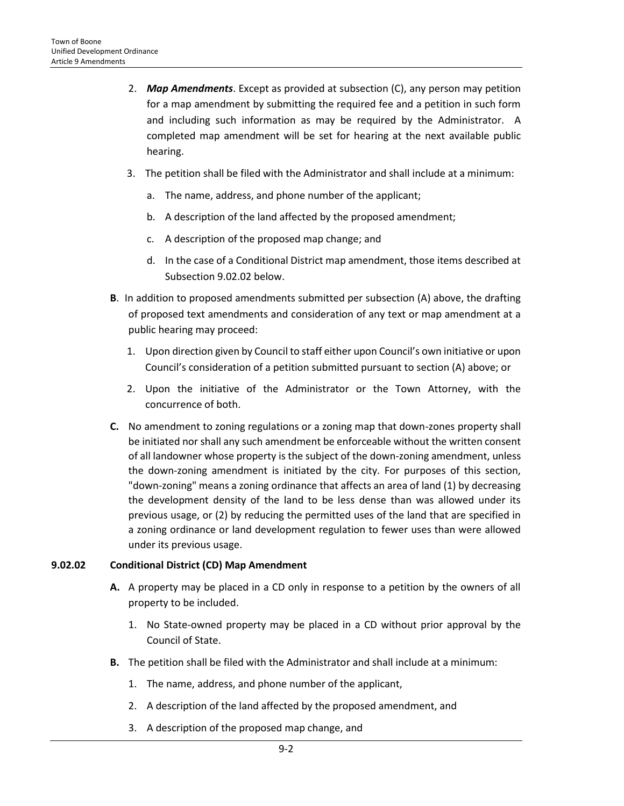- 2. *Map Amendments*. Except as provided at subsection (C), any person may petition for a map amendment by submitting the required fee and a petition in such form and including such information as may be required by the Administrator. A completed map amendment will be set for hearing at the next available public hearing.
- 3. The petition shall be filed with the Administrator and shall include at a minimum:
	- a. The name, address, and phone number of the applicant;
	- b. A description of the land affected by the proposed amendment;
	- c. A description of the proposed map change; and
	- d. In the case of a Conditional District map amendment, those items described at Subsection 9.02.02 below.
- **B**. In addition to proposed amendments submitted per subsection (A) above, the drafting of proposed text amendments and consideration of any text or map amendment at a public hearing may proceed:
	- 1. Upon direction given by Council to staff either upon Council's own initiative or upon Council's consideration of a petition submitted pursuant to section (A) above; or
	- 2. Upon the initiative of the Administrator or the Town Attorney, with the concurrence of both.
- **C.** No amendment to zoning regulations or a zoning map that down-zones property shall be initiated nor shall any such amendment be enforceable without the written consent of all landowner whose property is the subject of the down-zoning amendment, unless the down-zoning amendment is initiated by the city. For purposes of this section, "down-zoning" means a zoning ordinance that affects an area of land (1) by decreasing the development density of the land to be less dense than was allowed under its previous usage, or (2) by reducing the permitted uses of the land that are specified in a zoning ordinance or land development regulation to fewer uses than were allowed under its previous usage.

## **9.02.02 Conditional District (CD) Map Amendment**

- **A.** A property may be placed in a CD only in response to a petition by the owners of all property to be included.
	- 1. No State-owned property may be placed in a CD without prior approval by the Council of State.
- **B.** The petition shall be filed with the Administrator and shall include at a minimum:
	- 1. The name, address, and phone number of the applicant,
	- 2. A description of the land affected by the proposed amendment, and
	- 3. A description of the proposed map change, and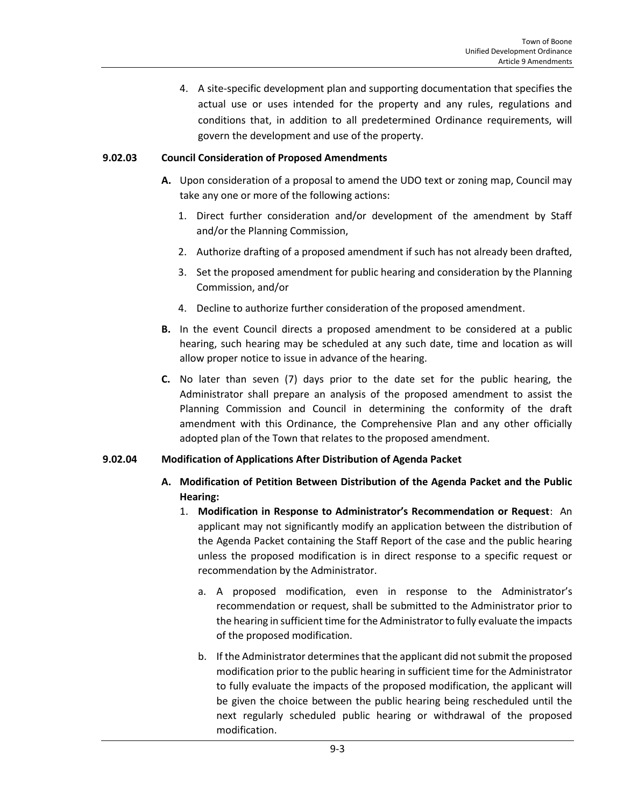4. A site-specific development plan and supporting documentation that specifies the actual use or uses intended for the property and any rules, regulations and conditions that, in addition to all predetermined Ordinance requirements, will govern the development and use of the property.

#### **9.02.03 Council Consideration of Proposed Amendments**

- **A.** Upon consideration of a proposal to amend the UDO text or zoning map, Council may take any one or more of the following actions:
	- 1. Direct further consideration and/or development of the amendment by Staff and/or the Planning Commission,
	- 2. Authorize drafting of a proposed amendment if such has not already been drafted,
	- 3. Set the proposed amendment for public hearing and consideration by the Planning Commission, and/or
	- 4. Decline to authorize further consideration of the proposed amendment.
- **B.** In the event Council directs a proposed amendment to be considered at a public hearing, such hearing may be scheduled at any such date, time and location as will allow proper notice to issue in advance of the hearing.
- **C.** No later than seven (7) days prior to the date set for the public hearing, the Administrator shall prepare an analysis of the proposed amendment to assist the Planning Commission and Council in determining the conformity of the draft amendment with this Ordinance, the Comprehensive Plan and any other officially adopted plan of the Town that relates to the proposed amendment.

#### **9.02.04 Modification of Applications After Distribution of Agenda Packet**

- **A. Modification of Petition Between Distribution of the Agenda Packet and the Public Hearing:**
	- 1. **Modification in Response to Administrator's Recommendation or Request**: An applicant may not significantly modify an application between the distribution of the Agenda Packet containing the Staff Report of the case and the public hearing unless the proposed modification is in direct response to a specific request or recommendation by the Administrator.
		- a. A proposed modification, even in response to the Administrator's recommendation or request, shall be submitted to the Administrator prior to the hearing in sufficient time for the Administrator to fully evaluate the impacts of the proposed modification.
		- b. If the Administrator determines that the applicant did not submit the proposed modification prior to the public hearing in sufficient time for the Administrator to fully evaluate the impacts of the proposed modification, the applicant will be given the choice between the public hearing being rescheduled until the next regularly scheduled public hearing or withdrawal of the proposed modification.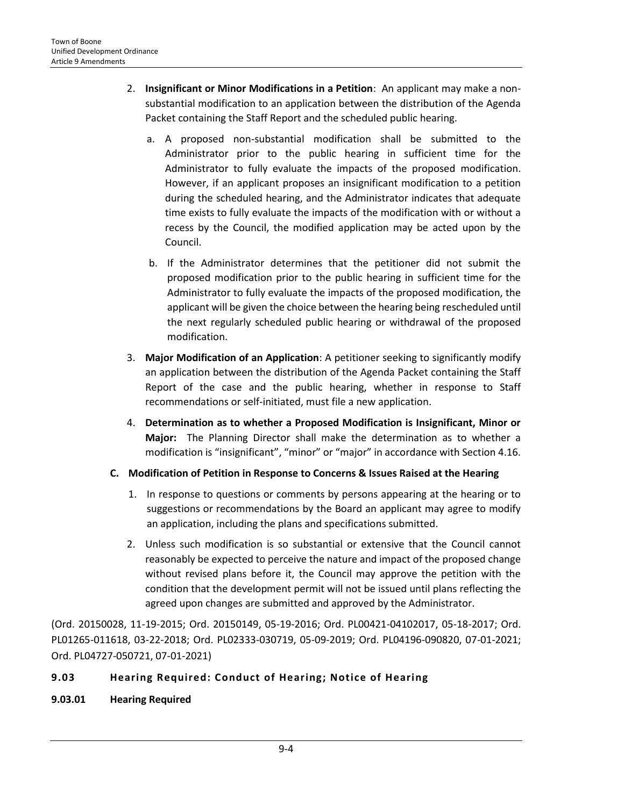- 2. **Insignificant or Minor Modifications in a Petition**: An applicant may make a nonsubstantial modification to an application between the distribution of the Agenda Packet containing the Staff Report and the scheduled public hearing.
	- a. A proposed non-substantial modification shall be submitted to the Administrator prior to the public hearing in sufficient time for the Administrator to fully evaluate the impacts of the proposed modification. However, if an applicant proposes an insignificant modification to a petition during the scheduled hearing, and the Administrator indicates that adequate time exists to fully evaluate the impacts of the modification with or without a recess by the Council, the modified application may be acted upon by the Council.
	- b. If the Administrator determines that the petitioner did not submit the proposed modification prior to the public hearing in sufficient time for the Administrator to fully evaluate the impacts of the proposed modification, the applicant will be given the choice between the hearing being rescheduled until the next regularly scheduled public hearing or withdrawal of the proposed modification.
- 3. **Major Modification of an Application**: A petitioner seeking to significantly modify an application between the distribution of the Agenda Packet containing the Staff Report of the case and the public hearing, whether in response to Staff recommendations or self-initiated, must file a new application.
- 4. **Determination as to whether a Proposed Modification is Insignificant, Minor or Major:** The Planning Director shall make the determination as to whether a modification is "insignificant", "minor" or "major" in accordance with Section 4.16.
- **C. Modification of Petition in Response to Concerns & Issues Raised at the Hearing**
	- 1. In response to questions or comments by persons appearing at the hearing or to suggestions or recommendations by the Board an applicant may agree to modify an application, including the plans and specifications submitted.
	- 2. Unless such modification is so substantial or extensive that the Council cannot reasonably be expected to perceive the nature and impact of the proposed change without revised plans before it, the Council may approve the petition with the condition that the development permit will not be issued until plans reflecting the agreed upon changes are submitted and approved by the Administrator.

(Ord. 20150028, 11-19-2015; Ord. 20150149, 05-19-2016; Ord. PL00421-04102017, 05-18-2017; Ord. PL01265-011618, 03-22-2018; Ord. PL02333-030719, 05-09-2019; Ord. PL04196-090820, 07-01-2021; Ord. PL04727-050721, 07-01-2021)

# <span id="page-3-0"></span>**9.03 Hearing Required: Conduct of Hearing; Notice of Hearing**

**9.03.01 Hearing Required**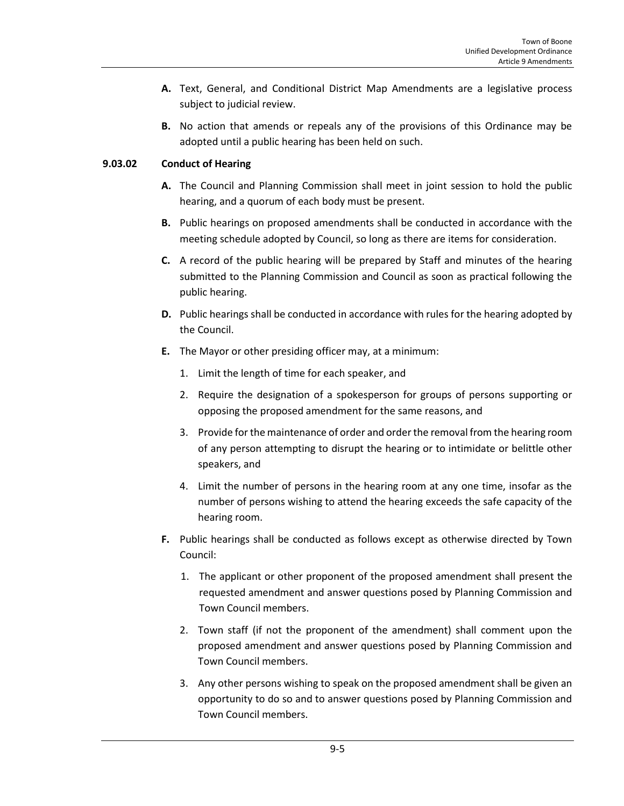- **A.** Text, General, and Conditional District Map Amendments are a legislative process subject to judicial review.
- **B.** No action that amends or repeals any of the provisions of this Ordinance may be adopted until a public hearing has been held on such.

## **9.03.02 Conduct of Hearing**

- **A.** The Council and Planning Commission shall meet in joint session to hold the public hearing, and a quorum of each body must be present.
- **B.** Public hearings on proposed amendments shall be conducted in accordance with the meeting schedule adopted by Council, so long as there are items for consideration.
- **C.** A record of the public hearing will be prepared by Staff and minutes of the hearing submitted to the Planning Commission and Council as soon as practical following the public hearing.
- **D.** Public hearings shall be conducted in accordance with rules for the hearing adopted by the Council.
- **E.** The Mayor or other presiding officer may, at a minimum:
	- 1. Limit the length of time for each speaker, and
	- 2. Require the designation of a spokesperson for groups of persons supporting or opposing the proposed amendment for the same reasons, and
	- 3. Provide for the maintenance of order and order the removal from the hearing room of any person attempting to disrupt the hearing or to intimidate or belittle other speakers, and
	- 4. Limit the number of persons in the hearing room at any one time, insofar as the number of persons wishing to attend the hearing exceeds the safe capacity of the hearing room.
- **F.** Public hearings shall be conducted as follows except as otherwise directed by Town Council:
	- 1. The applicant or other proponent of the proposed amendment shall present the requested amendment and answer questions posed by Planning Commission and Town Council members.
	- 2. Town staff (if not the proponent of the amendment) shall comment upon the proposed amendment and answer questions posed by Planning Commission and Town Council members.
	- 3. Any other persons wishing to speak on the proposed amendment shall be given an opportunity to do so and to answer questions posed by Planning Commission and Town Council members.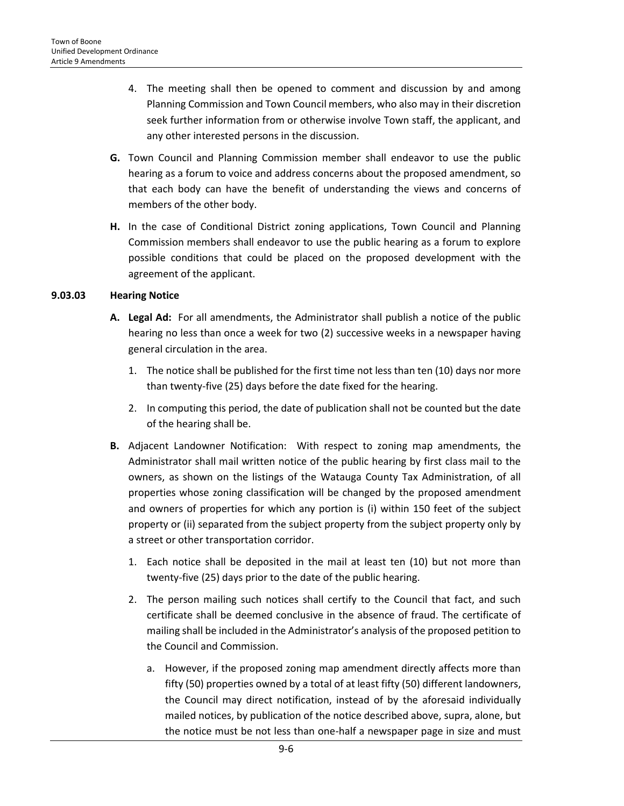- 4. The meeting shall then be opened to comment and discussion by and among Planning Commission and Town Council members, who also may in their discretion seek further information from or otherwise involve Town staff, the applicant, and any other interested persons in the discussion.
- **G.** Town Council and Planning Commission member shall endeavor to use the public hearing as a forum to voice and address concerns about the proposed amendment, so that each body can have the benefit of understanding the views and concerns of members of the other body.
- **H.** In the case of Conditional District zoning applications, Town Council and Planning Commission members shall endeavor to use the public hearing as a forum to explore possible conditions that could be placed on the proposed development with the agreement of the applicant.

#### **9.03.03 Hearing Notice**

- **A. Legal Ad:** For all amendments, the Administrator shall publish a notice of the public hearing no less than once a week for two (2) successive weeks in a newspaper having general circulation in the area.
	- 1. The notice shall be published for the first time not less than ten (10) days nor more than twenty-five (25) days before the date fixed for the hearing.
	- 2. In computing this period, the date of publication shall not be counted but the date of the hearing shall be.
- **B.** Adjacent Landowner Notification: With respect to zoning map amendments, the Administrator shall mail written notice of the public hearing by first class mail to the owners, as shown on the listings of the Watauga County Tax Administration, of all properties whose zoning classification will be changed by the proposed amendment and owners of properties for which any portion is (i) within 150 feet of the subject property or (ii) separated from the subject property from the subject property only by a street or other transportation corridor.
	- 1. Each notice shall be deposited in the mail at least ten (10) but not more than twenty-five (25) days prior to the date of the public hearing.
	- 2. The person mailing such notices shall certify to the Council that fact, and such certificate shall be deemed conclusive in the absence of fraud. The certificate of mailing shall be included in the Administrator's analysis of the proposed petition to the Council and Commission.
		- a. However, if the proposed zoning map amendment directly affects more than fifty (50) properties owned by a total of at least fifty (50) different landowners, the Council may direct notification, instead of by the aforesaid individually mailed notices, by publication of the notice described above, supra, alone, but the notice must be not less than one-half a newspaper page in size and must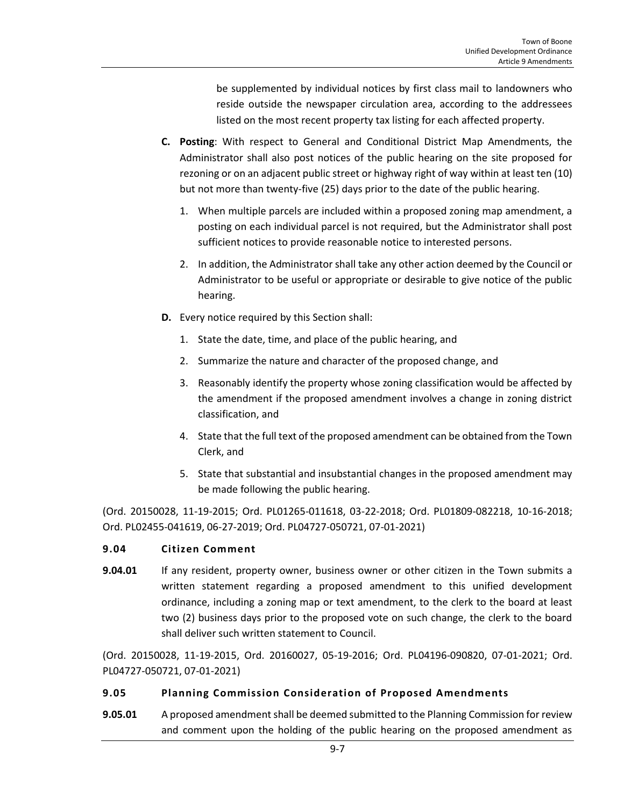be supplemented by individual notices by first class mail to landowners who reside outside the newspaper circulation area, according to the addressees listed on the most recent property tax listing for each affected property.

- **C. Posting**: With respect to General and Conditional District Map Amendments, the Administrator shall also post notices of the public hearing on the site proposed for rezoning or on an adjacent public street or highway right of way within at least ten (10) but not more than twenty-five (25) days prior to the date of the public hearing.
	- 1. When multiple parcels are included within a proposed zoning map amendment, a posting on each individual parcel is not required, but the Administrator shall post sufficient notices to provide reasonable notice to interested persons.
	- 2. In addition, the Administrator shall take any other action deemed by the Council or Administrator to be useful or appropriate or desirable to give notice of the public hearing.
- **D.** Every notice required by this Section shall:
	- 1. State the date, time, and place of the public hearing, and
	- 2. Summarize the nature and character of the proposed change, and
	- 3. Reasonably identify the property whose zoning classification would be affected by the amendment if the proposed amendment involves a change in zoning district classification, and
	- 4. State that the full text of the proposed amendment can be obtained from the Town Clerk, and
	- 5. State that substantial and insubstantial changes in the proposed amendment may be made following the public hearing.

(Ord. 20150028, 11-19-2015; Ord. PL01265-011618, 03-22-2018; Ord. PL01809-082218, 10-16-2018; Ord. PL02455-041619, 06-27-2019; Ord. PL04727-050721, 07-01-2021)

#### <span id="page-6-0"></span>**9.04 Citizen Comment**

**9.04.01** If any resident, property owner, business owner or other citizen in the Town submits a written statement regarding a proposed amendment to this unified development ordinance, including a zoning map or text amendment, to the clerk to the board at least two (2) business days prior to the proposed vote on such change, the clerk to the board shall deliver such written statement to Council.

(Ord. 20150028, 11-19-2015, Ord. 20160027, 05-19-2016; Ord. PL04196-090820, 07-01-2021; Ord. PL04727-050721, 07-01-2021)

#### <span id="page-6-1"></span>**9.05 Planning Commission Consideration of Proposed Amendments**

**9.05.01** A proposed amendment shall be deemed submitted to the Planning Commission for review and comment upon the holding of the public hearing on the proposed amendment as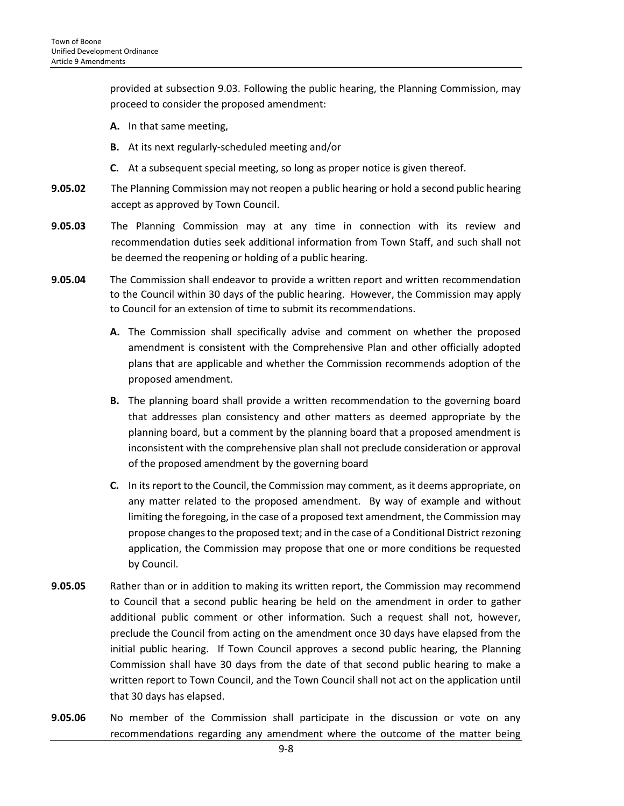provided at subsection 9.03. Following the public hearing, the Planning Commission, may proceed to consider the proposed amendment:

- **A.** In that same meeting,
- **B.** At its next regularly-scheduled meeting and/or
- **C.** At a subsequent special meeting, so long as proper notice is given thereof.
- **9.05.02** The Planning Commission may not reopen a public hearing or hold a second public hearing accept as approved by Town Council.
- **9.05.03** The Planning Commission may at any time in connection with its review and recommendation duties seek additional information from Town Staff, and such shall not be deemed the reopening or holding of a public hearing.
- **9.05.04** The Commission shall endeavor to provide a written report and written recommendation to the Council within 30 days of the public hearing. However, the Commission may apply to Council for an extension of time to submit its recommendations.
	- **A.** The Commission shall specifically advise and comment on whether the proposed amendment is consistent with the Comprehensive Plan and other officially adopted plans that are applicable and whether the Commission recommends adoption of the proposed amendment.
	- **B.** The planning board shall provide a written recommendation to the governing board that addresses plan consistency and other matters as deemed appropriate by the planning board, but a comment by the planning board that a proposed amendment is inconsistent with the comprehensive plan shall not preclude consideration or approval of the proposed amendment by the governing board
	- **C.** In its report to the Council, the Commission may comment, as it deems appropriate, on any matter related to the proposed amendment. By way of example and without limiting the foregoing, in the case of a proposed text amendment, the Commission may propose changes to the proposed text; and in the case of a Conditional District rezoning application, the Commission may propose that one or more conditions be requested by Council.
- **9.05.05** Rather than or in addition to making its written report, the Commission may recommend to Council that a second public hearing be held on the amendment in order to gather additional public comment or other information. Such a request shall not, however, preclude the Council from acting on the amendment once 30 days have elapsed from the initial public hearing. If Town Council approves a second public hearing, the Planning Commission shall have 30 days from the date of that second public hearing to make a written report to Town Council, and the Town Council shall not act on the application until that 30 days has elapsed.
- **9.05.06** No member of the Commission shall participate in the discussion or vote on any recommendations regarding any amendment where the outcome of the matter being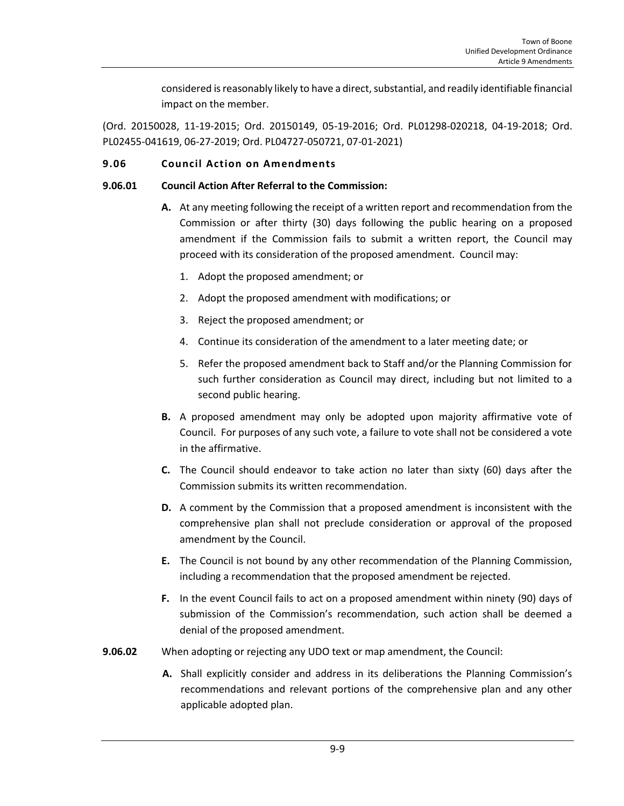considered is reasonably likely to have a direct, substantial, and readily identifiable financial impact on the member.

(Ord. 20150028, 11-19-2015; Ord. 20150149, 05-19-2016; Ord. PL01298-020218, 04-19-2018; Ord. PL02455-041619, 06-27-2019; Ord. PL04727-050721, 07-01-2021)

## <span id="page-8-0"></span>**9.06 Council Action on Amendments**

## **9.06.01 Council Action After Referral to the Commission:**

- **A.** At any meeting following the receipt of a written report and recommendation from the Commission or after thirty (30) days following the public hearing on a proposed amendment if the Commission fails to submit a written report, the Council may proceed with its consideration of the proposed amendment. Council may:
	- 1. Adopt the proposed amendment; or
	- 2. Adopt the proposed amendment with modifications; or
	- 3. Reject the proposed amendment; or
	- 4. Continue its consideration of the amendment to a later meeting date; or
	- 5. Refer the proposed amendment back to Staff and/or the Planning Commission for such further consideration as Council may direct, including but not limited to a second public hearing.
- **B.** A proposed amendment may only be adopted upon majority affirmative vote of Council. For purposes of any such vote, a failure to vote shall not be considered a vote in the affirmative.
- **C.** The Council should endeavor to take action no later than sixty (60) days after the Commission submits its written recommendation.
- **D.** A comment by the Commission that a proposed amendment is inconsistent with the comprehensive plan shall not preclude consideration or approval of the proposed amendment by the Council.
- **E.** The Council is not bound by any other recommendation of the Planning Commission, including a recommendation that the proposed amendment be rejected.
- **F.** In the event Council fails to act on a proposed amendment within ninety (90) days of submission of the Commission's recommendation, such action shall be deemed a denial of the proposed amendment.
- **9.06.02** When adopting or rejecting any UDO text or map amendment, the Council:
	- **A.** Shall explicitly consider and address in its deliberations the Planning Commission's recommendations and relevant portions of the comprehensive plan and any other applicable adopted plan.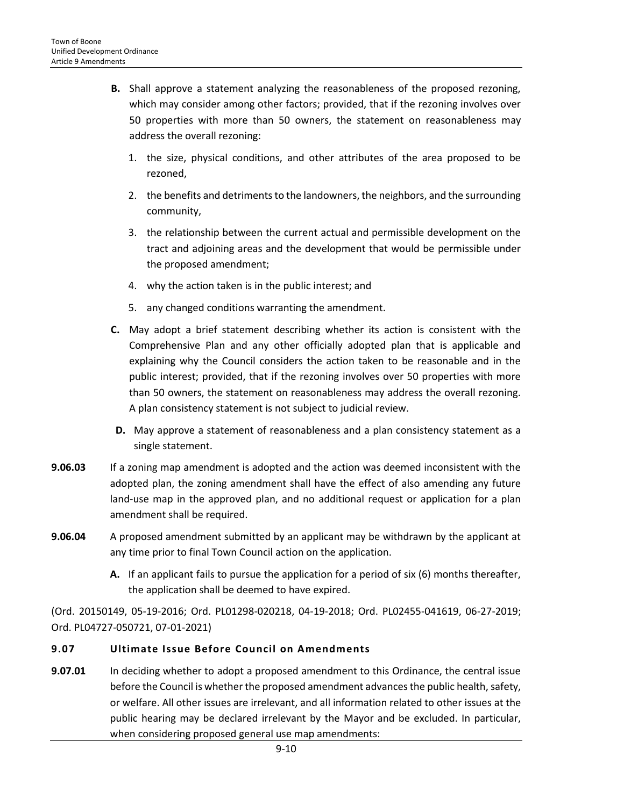- **B.** Shall approve a statement analyzing the reasonableness of the proposed rezoning, which may consider among other factors; provided, that if the rezoning involves over 50 properties with more than 50 owners, the statement on reasonableness may address the overall rezoning:
	- 1. the size, physical conditions, and other attributes of the area proposed to be rezoned,
	- 2. the benefits and detriments to the landowners, the neighbors, and the surrounding community,
	- 3. the relationship between the current actual and permissible development on the tract and adjoining areas and the development that would be permissible under the proposed amendment;
	- 4. why the action taken is in the public interest; and
	- 5. any changed conditions warranting the amendment.
- **C.** May adopt a brief statement describing whether its action is consistent with the Comprehensive Plan and any other officially adopted plan that is applicable and explaining why the Council considers the action taken to be reasonable and in the public interest; provided, that if the rezoning involves over 50 properties with more than 50 owners, the statement on reasonableness may address the overall rezoning. A plan consistency statement is not subject to judicial review.
- **D.** May approve a statement of reasonableness and a plan consistency statement as a single statement.
- **9.06.03** If a zoning map amendment is adopted and the action was deemed inconsistent with the adopted plan, the zoning amendment shall have the effect of also amending any future land-use map in the approved plan, and no additional request or application for a plan amendment shall be required.
- **9.06.04** A proposed amendment submitted by an applicant may be withdrawn by the applicant at any time prior to final Town Council action on the application.
	- **A.** If an applicant fails to pursue the application for a period of six (6) months thereafter, the application shall be deemed to have expired.

(Ord. 20150149, 05-19-2016; Ord. PL01298-020218, 04-19-2018; Ord. PL02455-041619, 06-27-2019; Ord. PL04727-050721, 07-01-2021)

# <span id="page-9-0"></span>**9.07 Ultimate Issue Before Council on Amendments**

**9.07.01** In deciding whether to adopt a proposed amendment to this Ordinance, the central issue before the Council is whether the proposed amendment advances the public health, safety, or welfare. All other issues are irrelevant, and all information related to other issues at the public hearing may be declared irrelevant by the Mayor and be excluded. In particular, when considering proposed general use map amendments: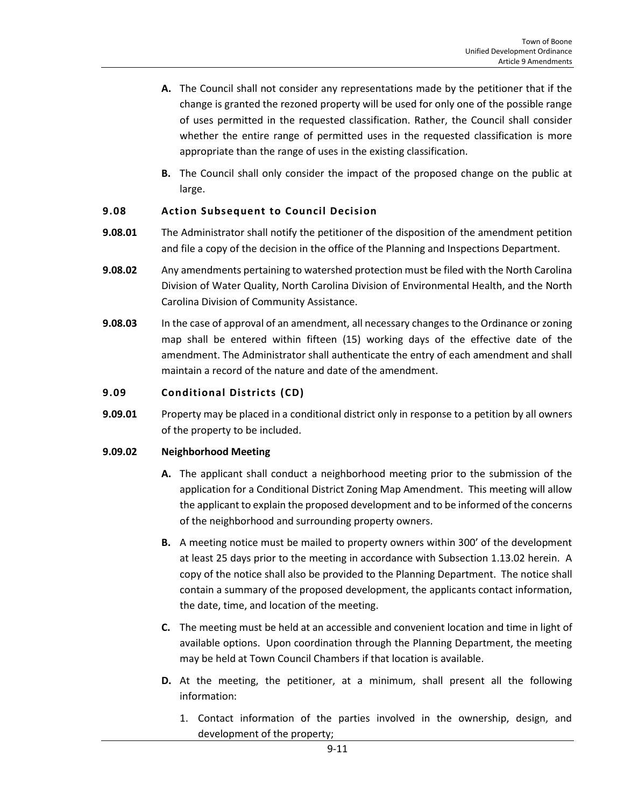- **A.** The Council shall not consider any representations made by the petitioner that if the change is granted the rezoned property will be used for only one of the possible range of uses permitted in the requested classification. Rather, the Council shall consider whether the entire range of permitted uses in the requested classification is more appropriate than the range of uses in the existing classification.
- **B.** The Council shall only consider the impact of the proposed change on the public at large.

## <span id="page-10-0"></span>**9.08 Action Subsequent to Council Decision**

- **9.08.01** The Administrator shall notify the petitioner of the disposition of the amendment petition and file a copy of the decision in the office of the Planning and Inspections Department.
- **9.08.02** Any amendments pertaining to watershed protection must be filed with the North Carolina Division of Water Quality, North Carolina Division of Environmental Health, and the North Carolina Division of Community Assistance.
- **9.08.03** In the case of approval of an amendment, all necessary changes to the Ordinance or zoning map shall be entered within fifteen (15) working days of the effective date of the amendment. The Administrator shall authenticate the entry of each amendment and shall maintain a record of the nature and date of the amendment.

## <span id="page-10-1"></span>**9.09 Conditional Districts (CD)**

**9.09.01** Property may be placed in a conditional district only in response to a petition by all owners of the property to be included.

#### **9.09.02 Neighborhood Meeting**

- **A.** The applicant shall conduct a neighborhood meeting prior to the submission of the application for a Conditional District Zoning Map Amendment. This meeting will allow the applicant to explain the proposed development and to be informed of the concerns of the neighborhood and surrounding property owners.
- **B.** A meeting notice must be mailed to property owners within 300' of the development at least 25 days prior to the meeting in accordance with Subsection 1.13.02 herein. A copy of the notice shall also be provided to the Planning Department. The notice shall contain a summary of the proposed development, the applicants contact information, the date, time, and location of the meeting.
- **C.** The meeting must be held at an accessible and convenient location and time in light of available options. Upon coordination through the Planning Department, the meeting may be held at Town Council Chambers if that location is available.
- **D.** At the meeting, the petitioner, at a minimum, shall present all the following information:
	- 1. Contact information of the parties involved in the ownership, design, and development of the property;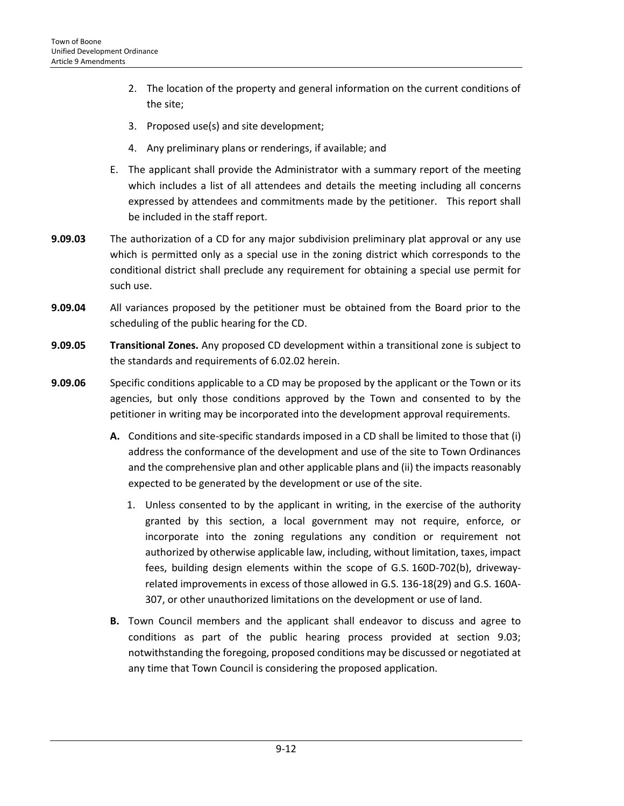- 2. The location of the property and general information on the current conditions of the site;
- 3. Proposed use(s) and site development;
- 4. Any preliminary plans or renderings, if available; and
- E. The applicant shall provide the Administrator with a summary report of the meeting which includes a list of all attendees and details the meeting including all concerns expressed by attendees and commitments made by the petitioner. This report shall be included in the staff report.
- **9.09.03** The authorization of a CD for any major subdivision preliminary plat approval or any use which is permitted only as a special use in the zoning district which corresponds to the conditional district shall preclude any requirement for obtaining a special use permit for such use.
- **9.09.04** All variances proposed by the petitioner must be obtained from the Board prior to the scheduling of the public hearing for the CD.
- **9.09.05 Transitional Zones.** Any proposed CD development within a transitional zone is subject to the standards and requirements of 6.02.02 herein.
- **9.09.06** Specific conditions applicable to a CD may be proposed by the applicant or the Town or its agencies, but only those conditions approved by the Town and consented to by the petitioner in writing may be incorporated into the development approval requirements.
	- **A.** Conditions and site-specific standards imposed in a CD shall be limited to those that (i) address the conformance of the development and use of the site to Town Ordinances and the comprehensive plan and other applicable plans and (ii) the impacts reasonably expected to be generated by the development or use of the site.
		- 1. Unless consented to by the applicant in writing, in the exercise of the authority granted by this section, a local government may not require, enforce, or incorporate into the zoning regulations any condition or requirement not authorized by otherwise applicable law, including, without limitation, taxes, impact fees, building design elements within the scope of G.S. 160D-702(b), drivewayrelated improvements in excess of those allowed in G.S. 136-18(29) and G.S. 160A-307, or other unauthorized limitations on the development or use of land.
	- **B.** Town Council members and the applicant shall endeavor to discuss and agree to conditions as part of the public hearing process provided at section 9.03; notwithstanding the foregoing, proposed conditions may be discussed or negotiated at any time that Town Council is considering the proposed application.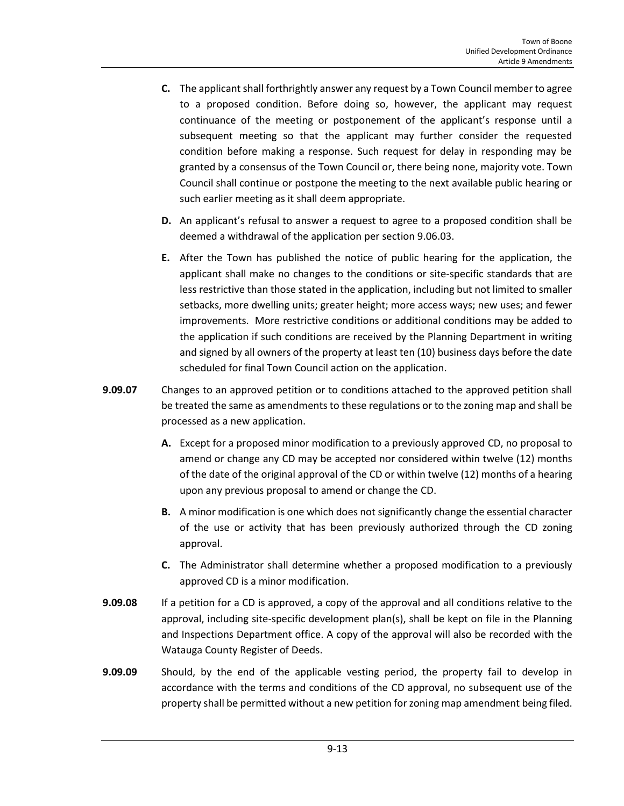- **C.** The applicant shall forthrightly answer any request by a Town Council member to agree to a proposed condition. Before doing so, however, the applicant may request continuance of the meeting or postponement of the applicant's response until a subsequent meeting so that the applicant may further consider the requested condition before making a response. Such request for delay in responding may be granted by a consensus of the Town Council or, there being none, majority vote. Town Council shall continue or postpone the meeting to the next available public hearing or such earlier meeting as it shall deem appropriate.
- **D.** An applicant's refusal to answer a request to agree to a proposed condition shall be deemed a withdrawal of the application per section 9.06.03.
- **E.** After the Town has published the notice of public hearing for the application, the applicant shall make no changes to the conditions or site-specific standards that are less restrictive than those stated in the application, including but not limited to smaller setbacks, more dwelling units; greater height; more access ways; new uses; and fewer improvements. More restrictive conditions or additional conditions may be added to the application if such conditions are received by the Planning Department in writing and signed by all owners of the property at least ten (10) business days before the date scheduled for final Town Council action on the application.
- **9.09.07** Changes to an approved petition or to conditions attached to the approved petition shall be treated the same as amendments to these regulations or to the zoning map and shall be processed as a new application.
	- **A.** Except for a proposed minor modification to a previously approved CD, no proposal to amend or change any CD may be accepted nor considered within twelve (12) months of the date of the original approval of the CD or within twelve (12) months of a hearing upon any previous proposal to amend or change the CD.
	- **B.** A minor modification is one which does not significantly change the essential character of the use or activity that has been previously authorized through the CD zoning approval.
	- **C.** The Administrator shall determine whether a proposed modification to a previously approved CD is a minor modification.
- **9.09.08** If a petition for a CD is approved, a copy of the approval and all conditions relative to the approval, including site-specific development plan(s), shall be kept on file in the Planning and Inspections Department office. A copy of the approval will also be recorded with the Watauga County Register of Deeds.
- **9.09.09** Should, by the end of the applicable vesting period, the property fail to develop in accordance with the terms and conditions of the CD approval, no subsequent use of the property shall be permitted without a new petition for zoning map amendment being filed.